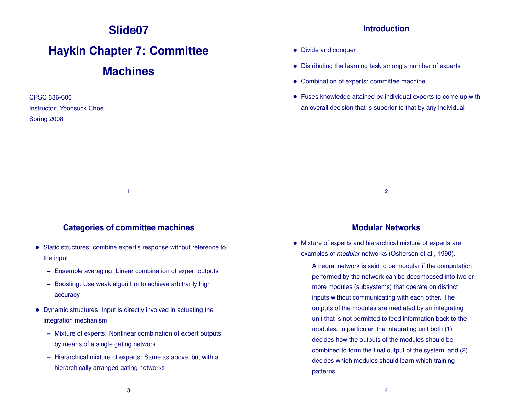# **Slide07**

# **Haykin Chapter 7: Committee**

# **Machines**

CPSC 636-600 Instructor: Yoonsuck Choe Spring 2008

### **Introduction**

- Divide and conquer
- Distributing the learning task among a number of experts
- Combination of experts: committee machine
- Fuses knowledge attained by individual experts to come up with an overall decision that is superior to that by any individual

2

#### **Categories of committee machines**

1

- Static structures: combine expert's response without reference to the input
	- **–** Ensemble averaging: Linear combination of expert outputs
	- **–** Boosting: Use weak algorithm to achieve arbitrarily high accuracy
- Dynamic structures: Input is directly involved in actuating the integration mechanism
	- **–** Mixture of experts: Nonlinear combination of expert outputs by means of a single gating network
	- **–** Hierarchical mixture of experts: Same as above, but with a hierarchically arranged gating networks

#### **Modular Networks**

• Mixture of experts and hierarchical mixture of experts are examples of *modular* networks (Osherson et al., 1990).

A neural network is said to be modular if the computation performed by the network can be decomposed into two or more modules (subsystems) that operate on distinct inputs without communicating with each other. The outputs of the modules are mediated by an integrating unit that is not permitted to feed information back to the modules. In particular, the integrating unit both (1) decides how the outputs of the modules should be combined to form the final output of the system, and (2) decides which modules should learn which training patterns.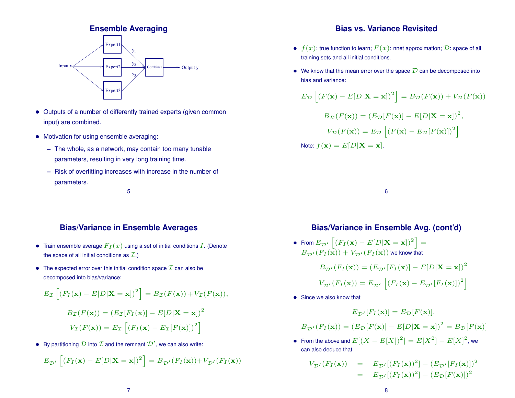

- Outputs of a number of differently trained experts (given common input) are combined.
- Motivation for using ensemble averaging:
	- **–** The whole, as a network, may contain too many tunable parameters, resulting in very long training time.
	- **–** Risk of overfitting increases with increase in the number of parameters.

5

# **Bias/Variance in Ensemble Averages**

- Train ensemble average  $F_I(x)$  using a set of initial conditions  $I$ . (Denote the space of all initial conditions as  $\mathcal{I}$ .)
- The expected error over this initial condition space  $\mathcal I$  can also be decomposed into bias/variance:

$$
E_{\mathcal{I}}\left[ (F_I(\mathbf{x}) - E[D|\mathbf{X} = \mathbf{x}])^2 \right] = B_{\mathcal{I}}(F(\mathbf{x})) + V_{\mathcal{I}}(F(\mathbf{x})),
$$

$$
B_{\mathcal{I}}(F(\mathbf{x})) = (E_{\mathcal{I}}[F_I(\mathbf{x})] - E[D|\mathbf{X} = \mathbf{x}])^2
$$

$$
V_{\mathcal{I}}(F(\mathbf{x})) = E_{\mathcal{I}}\left[ (F_I(\mathbf{x}) - E_{\mathcal{I}}[F(\mathbf{x})])^2 \right]
$$

• By partitioning  $\mathcal D$  into  $\mathcal I$  and the remnant  $\mathcal D'$ , we can also write:

$$
E_{\mathcal{D}'}\left[ (F_I(\mathbf{x}) - E[D|\mathbf{X} = \mathbf{x}])^2 \right] = B_{\mathcal{D}'}(F_I(\mathbf{x})) + V_{\mathcal{D}'}(F_I(\mathbf{x}))
$$

# **Bias vs. Variance Revisited**

- $f(x)$ : true function to learn;  $F(x)$ : nnet approximation; D: space of all training sets and all initial conditions.
- We know that the mean error over the space  $D$  can be decomposed into bias and variance:

$$
E_{\mathcal{D}}\left[\left(F(\mathbf{x}) - E[D|\mathbf{X} = \mathbf{x}]\right)^{2}\right] = B_{\mathcal{D}}(F(\mathbf{x})) + V_{\mathcal{D}}(F(\mathbf{x}))
$$

$$
B_{\mathcal{D}}(F(\mathbf{x})) = (E_{\mathcal{D}}[F(\mathbf{x})] - E[D|\mathbf{X} = \mathbf{x}])^{2},
$$

$$
V_{\mathcal{D}}(F(\mathbf{x})) = E_{\mathcal{D}}\left[\left(F(\mathbf{x}) - E_{\mathcal{D}}[F(\mathbf{x})]\right)^{2}\right]
$$
Note:  $f(\mathbf{x}) = E[D|\mathbf{X} = \mathbf{x}].$ 

6

# **Bias/Variance in Ensemble Avg. (cont'd)**

• From  $E_{\mathcal{D}'}\left[ (F_I(\mathbf{x}) - E[D|\mathbf{X}=\mathbf{x}])^2 \right] =$  $B_{\tau D'}(F_I(\mathbf{x})) + V_{\mathcal{D}'}(F_I(\mathbf{x}))$  we know that

$$
B_{\mathcal{D}'}(F_I(\mathbf{x})) = (E_{\mathcal{D}'}[F_I(\mathbf{x})] - E[D|\mathbf{X} = \mathbf{x}])^2
$$

$$
V_{\mathcal{D}'}(F_I(\mathbf{x})) = E_{\mathcal{D}'}[(F_I(\mathbf{x}) - E_{\mathcal{D}'}[F_I(\mathbf{x})])^2]
$$

• Since we also know that

$$
E_{\mathcal{D}'}[F_I(\mathbf{x})] = E_{\mathcal{D}}[F(\mathbf{x})],
$$

$$
B_{\mathcal{D}'}(F_I(\mathbf{x})) = (E_{\mathcal{D}}[F(\mathbf{x})] - E[D|\mathbf{X} = \mathbf{x}])^2 = B_{\mathcal{D}}[F(\mathbf{x})]
$$

• From the above and  $E[(X - E[X])^2] = E[X^2] - E[X]^2$ , we can also deduce that

$$
V_{\mathcal{D}'}(F_I(\mathbf{x})) = E_{\mathcal{D}'}[(F_I(\mathbf{x}))^2] - (E_{\mathcal{D}'}[F_I(\mathbf{x})])^2
$$
  
=  $E_{\mathcal{D}'}[(F_I(\mathbf{x}))^2] - (E_{\mathcal{D}}[F(\mathbf{x})])^2$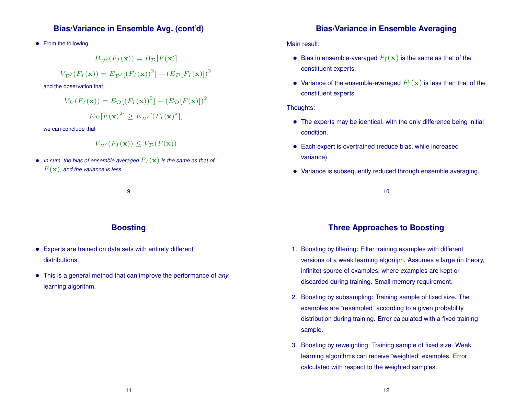### **Bias/Variance in Ensemble Avg. (cont'd)**

• From the following

$$
B_{\mathcal{D}'}(F_I(\mathbf{x})) = B_{\mathcal{D}}[F(\mathbf{x})]
$$

$$
V_{\mathcal{D}'}(F_I(\mathbf{x})) = E_{\mathcal{D}'}[(F_I(\mathbf{x}))^2] - (E_{\mathcal{D}}[F_I(\mathbf{x})])^2
$$

and the observation that

$$
V_{\mathcal{D}}(F_I(\mathbf{x})) = E_{\mathcal{D}}[(F_I(\mathbf{x}))^2] - (E_{\mathcal{D}}[F(\mathbf{x})])^2
$$

$$
E_{\mathcal{D}}[F(\mathbf{x})^2] \ge E_{\mathcal{D}'}[(F_I(\mathbf{x})^2],
$$

we can conclude that

$$
V_{\mathcal{D}'}(F_I(\mathbf{x})) \le V_{\mathcal{D}}(F(\mathbf{x}))
$$

• In sum, the bias of ensemble averaged  $F_I(\mathbf{x})$  is the same as that of  $F(\mathbf{x})$ , and the variance is less.

9

# **Boosting**

- Experts are trained on data sets with entirely different distributions.
- This is a general method that can improve the performance of *any* learning algorithm.

## **Bias/Variance in Ensemble Averaging**

Main result:

- $\bullet~$  Bias in ensemble-averaged  $F_{\rm I}({\bf x})$  is the same as that of the constituent experts.
- Variance of the ensemble-averaged  $F_{\rm I}({\bf x})$  is less than that of the constituent experts.

#### Thoughts:

- The experts may be identical, with the only difference being initial condition.
- Each expert is overtrained (reduce bias, while increased variance).
- Variance is subsequently reduced through ensemble averaging.

10

# **Three Approaches to Boosting**

- 1. Boosting by filtering: Filter training examples with different versions of a weak learning algoritjm. Assumes a large (in theory, infinite) source of examples, where examples are kept or discarded during training. Small memory requirement.
- 2. Boosting by subsampling: Training sample of fixed size. The examples are "resampled" according to a given probability distribution during training. Error calculated with a fixed training sample.
- 3. Boosting by reweighting: Training sample of fixed size. Weak learning algorithms can receive "weighted" examples. Error calculated with respect to the weighted samples.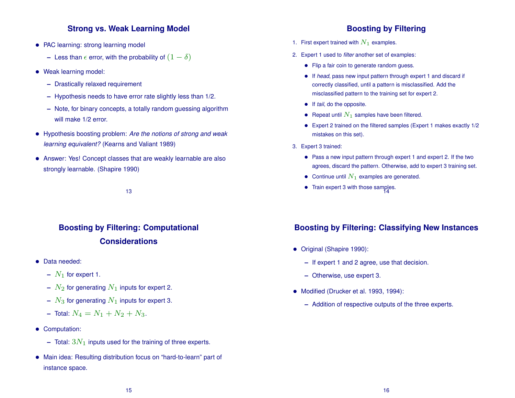# **Strong vs. Weak Learning Model**

- PAC learning: strong learning model
	- **–** Less than  $\epsilon$  error, with the probability of  $(1 \delta)$
- Weak learning model:
	- **–** Drastically relaxed requirement
	- **–** Hypothesis needs to have error rate slightly less than 1/2.
	- **–** Note, for binary concepts, a totally random guessing algorithm will make 1/2 error.
- Hypothesis boosting problem: *Are the notions of strong and weak learning equivalent?* (Kearns and Valiant 1989)
- Answer: Yes! Concept classes that are weakly learnable are also strongly learnable. (Shapire 1990)

13

# **Boosting by Filtering: Computational Considerations**

- Data needed:
	- $N_1$  for expert 1.
	- $N_2$  for generating  $N_1$  inputs for expert 2.
	- $N_3$  for generating  $N_1$  inputs for expert 3.
	- **–** Total:  $N_4 = N_1 + N_2 + N_3$ .
- Computation:
	- $-$  Total:  $3N_1$  inputs used for the training of three experts.
- Main idea: Resulting distribution focus on "hard-to-learn" part of instance space.

# **Boosting by Filtering**

- 1. First expert trained with  $N_1$  examples.
- 2. Expert 1 used to *filter* another set of examples:
	- Flip a fair coin to generate random guess.
	- If *head*, pass new input pattern through expert 1 and discard if correctly classified, until a pattern is misclassified. Add the misclassified pattern to the training set for expert 2.
	- If *tail*, do the opposite.
	- Repeat until  $N_1$  samples have been filtered.
	- Expert 2 trained on the filtered samples (Expert 1 makes exactly 1/2 mistakes on this set).
- 3. Expert 3 trained:
	- Pass a new input pattern through expert 1 and expert 2. If the two agrees, discard the pattern. Otherwise, add to expert 3 training set.
	- Continue until  $N_1$  examples are generated.
	- Train expert 3 with those samples. 14

# **Boosting by Filtering: Classifying New Instances**

- Original (Shapire 1990):
	- **–** If expert 1 and 2 agree, use that decision.
	- **–** Otherwise, use expert 3.
- Modified (Drucker et al. 1993, 1994):
	- **–** Addition of respective outputs of the three experts.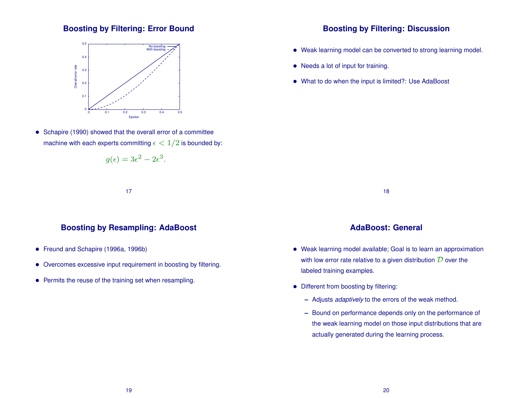# **Boosting by Filtering: Error Bound**



• Schapire (1990) showed that the overall error of a committee machine with each experts committing  $\epsilon < 1/2$  is bounded by:

$$
g(\epsilon) = 3\epsilon^2 - 2\epsilon^3.
$$

17

# **Boosting by Resampling: AdaBoost**

- Freund and Schapire (1996a, 1996b)
- Overcomes excessive input requirement in boosting by filtering.
- Permits the reuse of the training set when resampling.

### **Boosting by Filtering: Discussion**

- Weak learning model can be converted to strong learning model.
- Needs a lot of input for training.
- What to do when the input is limited?: Use AdaBoost

18

## **AdaBoost: General**

- Weak learning model available; Goal is to learn an approximation with low error rate relative to a given distribution  $D$  over the labeled training examples.
- Different from boosting by filtering:
	- **–** Adjusts *adaptively* to the errors of the weak method.
	- **–** Bound on performance depends only on the performance of the weak learning model on those input distributions that are actually generated during the learning process.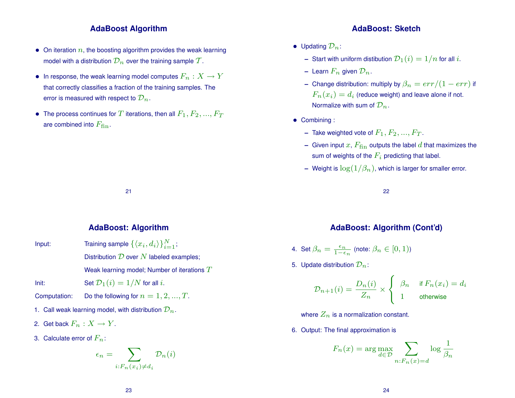#### **AdaBoost Algorithm**

- On iteration  $n$ , the boosting algorithm provides the weak learning model with a distribution  $\mathcal{D}_n$  over the training sample  $\mathcal T$ .
- In response, the weak learning model computes  $F_n: X \to Y$ that correctly classifies a fraction of the training samples. The error is measured with respect to  $\mathcal{D}_n$ .
- The process continues for T iterations, then all  $F_1, F_2, ..., F_T$ are combined into  $F_{\text{fin}}$ .

#### **AdaBoost: Algorithm**

21

Input: Training sample  $\{\langle x_i, d_i \rangle\}_{i=1}^N$ ; Distribution  $D$  over  $N$  labeled examples; Weak learning model; Number of iterations  $T$ 

Init: Set  $\mathcal{D}_1(i) = 1/N$  for all i.

Computation: Do the following for  $n = 1, 2, ..., T$ .

- 1. Call weak learning model, with distribution  $\mathcal{D}_n$ .
- 2. Get back  $F_n: X \to Y$ .
- 3. Calculate error of  $F_n$ :

$$
\epsilon_n = \sum_{i: F_n(x_i) \neq d_i} \mathcal{D}_n(i)
$$

#### **AdaBoost: Sketch**

- Updating  $\mathcal{D}_n$ :
	- **–** Start with uniform distibution  $\mathcal{D}_1(i) = 1/n$  for all i.
	- **–** Learn  $F_n$  given  $\mathcal{D}_n$ .
	- **–** Change distribution: multiply by  $\beta_n = err/(1 err)$  if  $F_n(x_i)=d_i$  (reduce weight) and leave alone if not. Normalize with sum of  $\mathcal{D}_n$ .
- Combining :
	- **–** Take weighted vote of  $F_1, F_2, ..., F_T$ .
	- **–** Given input  $x$ ,  $F_{fin}$  outputs the label  $d$  that maximizes the sum of weights of the  $F_i$  predicting that label.
	- **–** Weight is  $\log(1/\beta_n)$ , which is larger for smaller error.

22

# **AdaBoost: Algorithm (Cont'd)**

4. Set 
$$
\beta_n = \frac{\epsilon_n}{1-\epsilon_n}
$$
 (note:  $\beta_n \in [0,1)$ )

5. Update distribution  $\mathcal{D}_n$ :

$$
\mathcal{D}_{n+1}(i) = \frac{D_n(i)}{Z_n} \times \begin{cases} \beta_n & \text{if } F_n(x_i) = d_i \\ 1 & \text{otherwise} \end{cases}
$$

where  $Z_n$  is a normalization constant.

6. Output: The final approximation is

$$
F_n(x) = \arg\max_{d \in \mathcal{D}} \sum_{n: F_n(x) = d} \log \frac{1}{\beta_n}
$$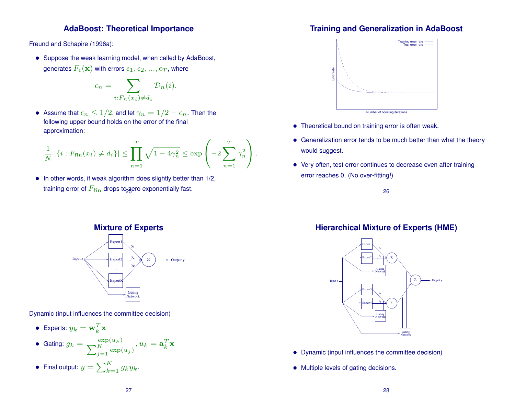# **AdaBoost: Theoretical Importance**

Freund and Schapire (1996a):

• Suppose the weak learning model, when called by AdaBoost, generates  $F_i(\mathbf{x})$  with errors  $\epsilon_1, \epsilon_2, ..., \epsilon_T$ , where

$$
\epsilon_n = \sum_{i: F_n(x_i) \neq d_i} \mathcal{D}_n(i).
$$

• Assume that  $\epsilon_n \leq 1/2$ , and let  $\gamma_n = 1/2 - \epsilon_n$ . Then the following upper bound holds on the error of the final approximation:

$$
\frac{1}{N} |\{i : F_{\text{fin}}(x_i) \neq d_i\}| \le \prod_{n=1}^T \sqrt{1 - 4\gamma_n^2} \le \exp\left(-2\sum_{n=1}^T \gamma_n^2\right).
$$

• In other words, if weak algorithm does slightly better than 1/2, training error of  $F_{\text{fin}}$  drops to zero exponentially fast.

# **Training and Generalization in AdaBoost**



- Theoretical bound on training error is often weak.
- Generalization error tends to be much better than what the theory would suggest.
- Very often, test error continues to decrease even after training error reaches 0. (No over-fitting!)

26

# **Hierarchical Mixture of Experts (HME)**



- Dynamic (input influences the committee decision)
- Multiple levels of gating decisions.

# **Mixture of Experts**



Dynamic (input influences the committee decision)

- Experts:  $y_k = \mathbf{w}_k^T \mathbf{x}$
- Gating:  $g_k = \frac{1}{\sum_{k=1}^{k} g_k}$  $\frac{\exp(u_k)}{K}$  $\sum_{j=1}^{\infty} \exp(u_j)$  $, u_k = \mathbf{a}_k^T$  $\frac{T}{k} \mathbf{x}$
- Final output:  $y = \sum_{k=1}^K g_k y_k$ .